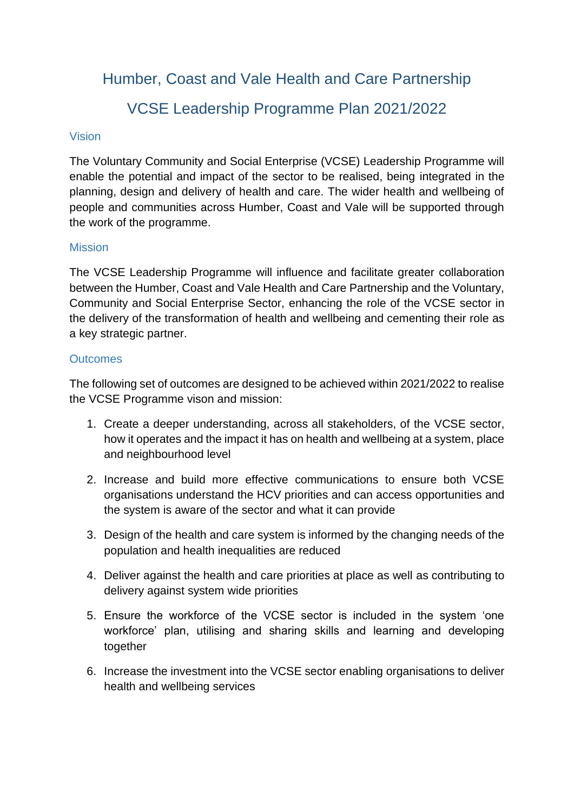Humber, Coast and Vale Health and Care Partnership

# VCSE Leadership Programme Plan 2021/2022

#### Vision

The Voluntary Community and Social Enterprise (VCSE) Leadership Programme will enable the potential and impact of the sector to be realised, being integrated in the planning, design and delivery of health and care. The wider health and wellbeing of people and communities across Humber, Coast and Vale will be supported through the work of the programme.

## **Mission**

The VCSE Leadership Programme will influence and facilitate greater collaboration between the Humber, Coast and Vale Health and Care Partnership and the Voluntary, Community and Social Enterprise Sector, enhancing the role of the VCSE sector in the delivery of the transformation of health and wellbeing and cementing their role as a key strategic partner.

## **Outcomes**

The following set of outcomes are designed to be achieved within 2021/2022 to realise the VCSE Programme vison and mission:

- 1. Create a deeper understanding, across all stakeholders, of the VCSE sector, how it operates and the impact it has on health and wellbeing at a system, place and neighbourhood level
- 2. Increase and build more effective communications to ensure both VCSE organisations understand the HCV priorities and can access opportunities and the system is aware of the sector and what it can provide
- 3. Design of the health and care system is informed by the changing needs of the population and health inequalities are reduced
- 4. Deliver against the health and care priorities at place as well as contributing to delivery against system wide priorities
- 5. Ensure the workforce of the VCSE sector is included in the system 'one workforce' plan, utilising and sharing skills and learning and developing together
- 6. Increase the investment into the VCSE sector enabling organisations to deliver health and wellbeing services